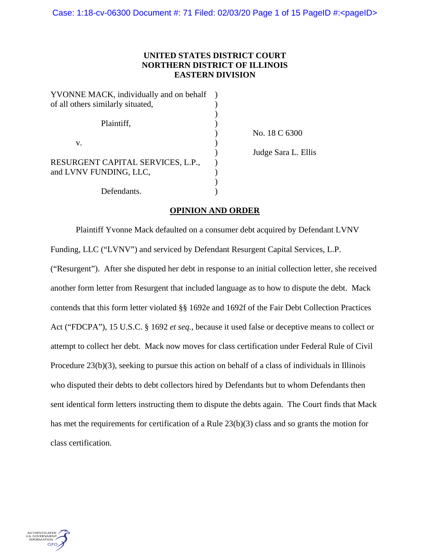# **UNITED STATES DISTRICT COURT NORTHERN DISTRICT OF ILLINOIS EASTERN DIVISION**

| YVONNE MACK, individually and on behalf |  |
|-----------------------------------------|--|
| of all others similarly situated,       |  |
|                                         |  |
| Plaintiff.                              |  |
|                                         |  |
| $V_{-}$                                 |  |
|                                         |  |
| RESURGENT CAPITAL SERVICES, L.P.,       |  |
| and LVNV FUNDING, LLC,                  |  |
|                                         |  |
| Defendants.                             |  |

) No. 18 C 6300 ) Judge Sara L. Ellis

## **OPINION AND ORDER**

Plaintiff Yvonne Mack defaulted on a consumer debt acquired by Defendant LVNV Funding, LLC ("LVNV") and serviced by Defendant Resurgent Capital Services, L.P. ("Resurgent"). After she disputed her debt in response to an initial collection letter, she received another form letter from Resurgent that included language as to how to dispute the debt. Mack contends that this form letter violated §§ 1692e and 1692f of the Fair Debt Collection Practices Act ("FDCPA"), 15 U.S.C. § 1692 *et seq.*, because it used false or deceptive means to collect or attempt to collect her debt. Mack now moves for class certification under Federal Rule of Civil Procedure 23(b)(3), seeking to pursue this action on behalf of a class of individuals in Illinois who disputed their debts to debt collectors hired by Defendants but to whom Defendants then sent identical form letters instructing them to dispute the debts again. The Court finds that Mack has met the requirements for certification of a Rule 23(b)(3) class and so grants the motion for class certification.

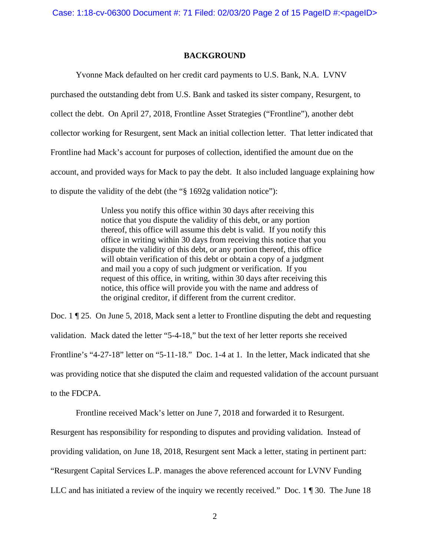## **BACKGROUND**

Yvonne Mack defaulted on her credit card payments to U.S. Bank, N.A. LVNV purchased the outstanding debt from U.S. Bank and tasked its sister company, Resurgent, to collect the debt. On April 27, 2018, Frontline Asset Strategies ("Frontline"), another debt collector working for Resurgent, sent Mack an initial collection letter. That letter indicated that Frontline had Mack's account for purposes of collection, identified the amount due on the account, and provided ways for Mack to pay the debt. It also included language explaining how to dispute the validity of the debt (the "§ 1692g validation notice"):

> Unless you notify this office within 30 days after receiving this notice that you dispute the validity of this debt, or any portion thereof, this office will assume this debt is valid. If you notify this office in writing within 30 days from receiving this notice that you dispute the validity of this debt, or any portion thereof, this office will obtain verification of this debt or obtain a copy of a judgment and mail you a copy of such judgment or verification. If you request of this office, in writing, within 30 days after receiving this notice, this office will provide you with the name and address of the original creditor, if different from the current creditor.

Doc. 1 ¶ 25. On June 5, 2018, Mack sent a letter to Frontline disputing the debt and requesting validation. Mack dated the letter "5-4-18," but the text of her letter reports she received Frontline's "4-27-18" letter on "5-11-18." Doc. 1-4 at 1. In the letter, Mack indicated that she was providing notice that she disputed the claim and requested validation of the account pursuant to the FDCPA.

Frontline received Mack's letter on June 7, 2018 and forwarded it to Resurgent.

Resurgent has responsibility for responding to disputes and providing validation. Instead of

providing validation, on June 18, 2018, Resurgent sent Mack a letter, stating in pertinent part:

"Resurgent Capital Services L.P. manages the above referenced account for LVNV Funding

LLC and has initiated a review of the inquiry we recently received." Doc. 1 ¶ 30. The June 18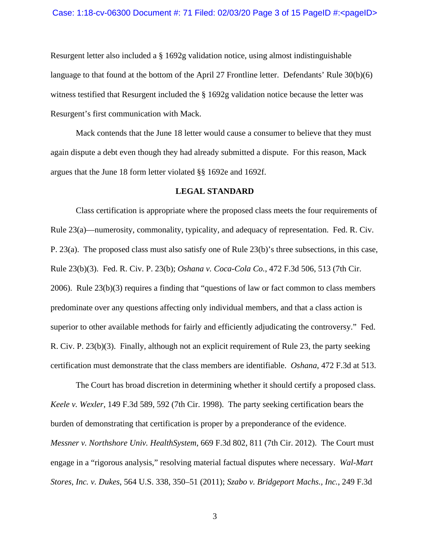### Case: 1:18-cv-06300 Document #: 71 Filed: 02/03/20 Page 3 of 15 PageID #:<pageID>

Resurgent letter also included a § 1692g validation notice, using almost indistinguishable language to that found at the bottom of the April 27 Frontline letter. Defendants' Rule 30(b)(6) witness testified that Resurgent included the § 1692g validation notice because the letter was Resurgent's first communication with Mack.

Mack contends that the June 18 letter would cause a consumer to believe that they must again dispute a debt even though they had already submitted a dispute. For this reason, Mack argues that the June 18 form letter violated §§ 1692e and 1692f.

## **LEGAL STANDARD**

Class certification is appropriate where the proposed class meets the four requirements of Rule 23(a)—numerosity, commonality, typicality, and adequacy of representation. Fed. R. Civ. P. 23(a). The proposed class must also satisfy one of Rule 23(b)'s three subsections, in this case, Rule 23(b)(3). Fed. R. Civ. P. 23(b); *Oshana v. Coca-Cola Co.*, 472 F.3d 506, 513 (7th Cir. 2006). Rule 23(b)(3) requires a finding that "questions of law or fact common to class members predominate over any questions affecting only individual members, and that a class action is superior to other available methods for fairly and efficiently adjudicating the controversy." Fed. R. Civ. P. 23(b)(3). Finally, although not an explicit requirement of Rule 23, the party seeking certification must demonstrate that the class members are identifiable. *Oshana*, 472 F.3d at 513.

The Court has broad discretion in determining whether it should certify a proposed class. *Keele v. Wexler*, 149 F.3d 589, 592 (7th Cir. 1998). The party seeking certification bears the burden of demonstrating that certification is proper by a preponderance of the evidence. *Messner v. Northshore Univ. HealthSystem*, 669 F.3d 802, 811 (7th Cir. 2012). The Court must engage in a "rigorous analysis," resolving material factual disputes where necessary. *Wal-Mart Stores, Inc. v. Dukes*, 564 U.S. 338, 350–51 (2011); *Szabo v. Bridgeport Machs., Inc.*, 249 F.3d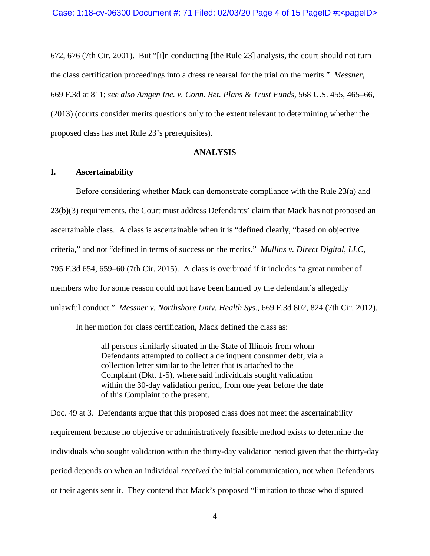672, 676 (7th Cir. 2001). But "[i]n conducting [the Rule 23] analysis, the court should not turn the class certification proceedings into a dress rehearsal for the trial on the merits." *Messner*, 669 F.3d at 811; *see also Amgen Inc. v. Conn. Ret. Plans & Trust Funds*, 568 U.S. 455, 465–66, (2013) (courts consider merits questions only to the extent relevant to determining whether the proposed class has met Rule 23's prerequisites).

## **ANALYSIS**

### **I. Ascertainability**

Before considering whether Mack can demonstrate compliance with the Rule 23(a) and 23(b)(3) requirements, the Court must address Defendants' claim that Mack has not proposed an ascertainable class. A class is ascertainable when it is "defined clearly, "based on objective criteria," and not "defined in terms of success on the merits." *Mullins v. Direct Digital, LLC*, 795 F.3d 654, 659–60 (7th Cir. 2015). A class is overbroad if it includes "a great number of members who for some reason could not have been harmed by the defendant's allegedly unlawful conduct." *Messner v. Northshore Univ. Health Sys.*, 669 F.3d 802, 824 (7th Cir. 2012).

In her motion for class certification, Mack defined the class as:

all persons similarly situated in the State of Illinois from whom Defendants attempted to collect a delinquent consumer debt, via a collection letter similar to the letter that is attached to the Complaint (Dkt. 1-5), where said individuals sought validation within the 30-day validation period, from one year before the date of this Complaint to the present.

Doc. 49 at 3. Defendants argue that this proposed class does not meet the ascertainability requirement because no objective or administratively feasible method exists to determine the individuals who sought validation within the thirty-day validation period given that the thirty-day period depends on when an individual *received* the initial communication, not when Defendants or their agents sent it. They contend that Mack's proposed "limitation to those who disputed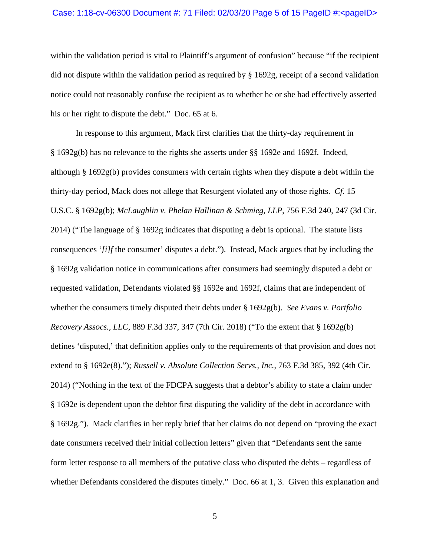## Case: 1:18-cv-06300 Document #: 71 Filed: 02/03/20 Page 5 of 15 PageID #:<pageID>

within the validation period is vital to Plaintiff's argument of confusion" because "if the recipient did not dispute within the validation period as required by § 1692g, receipt of a second validation notice could not reasonably confuse the recipient as to whether he or she had effectively asserted his or her right to dispute the debt." Doc. 65 at 6.

In response to this argument, Mack first clarifies that the thirty-day requirement in § 1692g(b) has no relevance to the rights she asserts under §§ 1692e and 1692f. Indeed, although § 1692g(b) provides consumers with certain rights when they dispute a debt within the thirty-day period, Mack does not allege that Resurgent violated any of those rights. *Cf.* 15 U.S.C. § 1692g(b); *McLaughlin v. Phelan Hallinan & Schmieg, LLP*, 756 F.3d 240, 247 (3d Cir. 2014) ("The language of § 1692g indicates that disputing a debt is optional. The statute lists consequences '*[i]f* the consumer' disputes a debt."). Instead, Mack argues that by including the § 1692g validation notice in communications after consumers had seemingly disputed a debt or requested validation, Defendants violated §§ 1692e and 1692f, claims that are independent of whether the consumers timely disputed their debts under § 1692g(b). *See Evans v. Portfolio Recovery Assocs., LLC*, 889 F.3d 337, 347 (7th Cir. 2018) ("To the extent that § 1692g(b) defines 'disputed,' that definition applies only to the requirements of that provision and does not extend to § 1692e(8)."); *Russell v. Absolute Collection Servs., Inc.*, 763 F.3d 385, 392 (4th Cir. 2014) ("Nothing in the text of the FDCPA suggests that a debtor's ability to state a claim under § 1692e is dependent upon the debtor first disputing the validity of the debt in accordance with § 1692g."). Mack clarifies in her reply brief that her claims do not depend on "proving the exact date consumers received their initial collection letters" given that "Defendants sent the same form letter response to all members of the putative class who disputed the debts – regardless of whether Defendants considered the disputes timely." Doc. 66 at 1, 3. Given this explanation and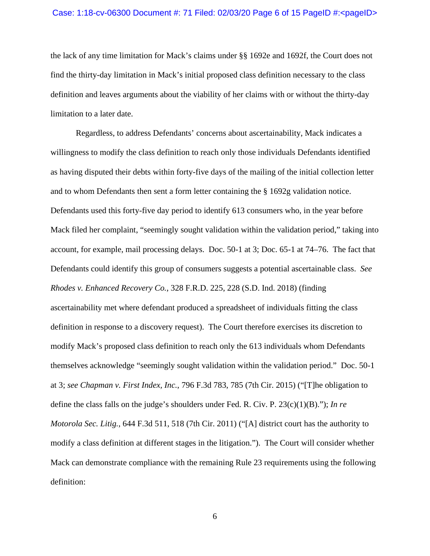### Case: 1:18-cv-06300 Document #: 71 Filed: 02/03/20 Page 6 of 15 PageID #:<pageID>

the lack of any time limitation for Mack's claims under §§ 1692e and 1692f, the Court does not find the thirty-day limitation in Mack's initial proposed class definition necessary to the class definition and leaves arguments about the viability of her claims with or without the thirty-day limitation to a later date.

Regardless, to address Defendants' concerns about ascertainability, Mack indicates a willingness to modify the class definition to reach only those individuals Defendants identified as having disputed their debts within forty-five days of the mailing of the initial collection letter and to whom Defendants then sent a form letter containing the § 1692g validation notice. Defendants used this forty-five day period to identify 613 consumers who, in the year before Mack filed her complaint, "seemingly sought validation within the validation period," taking into account, for example, mail processing delays. Doc. 50-1 at 3; Doc. 65-1 at 74–76. The fact that Defendants could identify this group of consumers suggests a potential ascertainable class. *See Rhodes v. Enhanced Recovery Co.*, 328 F.R.D. 225, 228 (S.D. Ind. 2018) (finding ascertainability met where defendant produced a spreadsheet of individuals fitting the class definition in response to a discovery request). The Court therefore exercises its discretion to modify Mack's proposed class definition to reach only the 613 individuals whom Defendants themselves acknowledge "seemingly sought validation within the validation period." Doc. 50-1 at 3; *see Chapman v. First Index, Inc.*, 796 F.3d 783, 785 (7th Cir. 2015) ("[T]he obligation to define the class falls on the judge's shoulders under Fed. R. Civ. P. 23(c)(1)(B)."); *In re Motorola Sec. Litig.*, 644 F.3d 511, 518 (7th Cir. 2011) ("[A] district court has the authority to modify a class definition at different stages in the litigation."). The Court will consider whether Mack can demonstrate compliance with the remaining Rule 23 requirements using the following definition: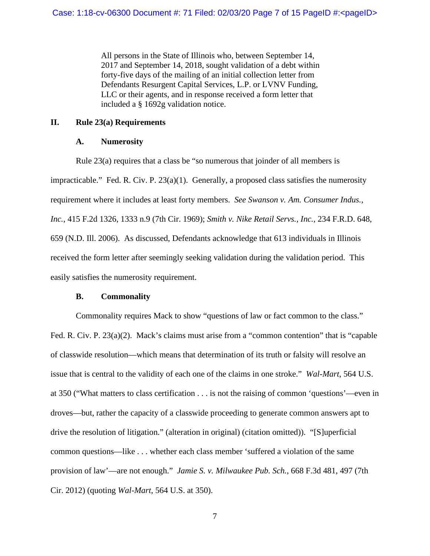All persons in the State of Illinois who, between September 14, 2017 and September 14, 2018, sought validation of a debt within forty-five days of the mailing of an initial collection letter from Defendants Resurgent Capital Services, L.P. or LVNV Funding, LLC or their agents, and in response received a form letter that included a § 1692g validation notice.

## **II. Rule 23(a) Requirements**

## **A. Numerosity**

Rule 23(a) requires that a class be "so numerous that joinder of all members is impracticable." Fed. R. Civ. P. 23(a)(1). Generally, a proposed class satisfies the numerosity requirement where it includes at least forty members. *See Swanson v. Am. Consumer Indus., Inc.*, 415 F.2d 1326, 1333 n.9 (7th Cir. 1969); *Smith v. Nike Retail Servs., Inc.*, 234 F.R.D. 648, 659 (N.D. Ill. 2006). As discussed, Defendants acknowledge that 613 individuals in Illinois received the form letter after seemingly seeking validation during the validation period. This easily satisfies the numerosity requirement.

## **B. Commonality**

Commonality requires Mack to show "questions of law or fact common to the class." Fed. R. Civ. P. 23(a)(2). Mack's claims must arise from a "common contention" that is "capable of classwide resolution—which means that determination of its truth or falsity will resolve an issue that is central to the validity of each one of the claims in one stroke." *Wal-Mart*, 564 U.S. at 350 ("What matters to class certification . . . is not the raising of common 'questions'—even in droves—but, rather the capacity of a classwide proceeding to generate common answers apt to drive the resolution of litigation." (alteration in original) (citation omitted)). "[S]uperficial common questions—like . . . whether each class member 'suffered a violation of the same provision of law'—are not enough." *Jamie S. v. Milwaukee Pub. Sch.*, 668 F.3d 481, 497 (7th Cir. 2012) (quoting *Wal-Mart*, 564 U.S. at 350).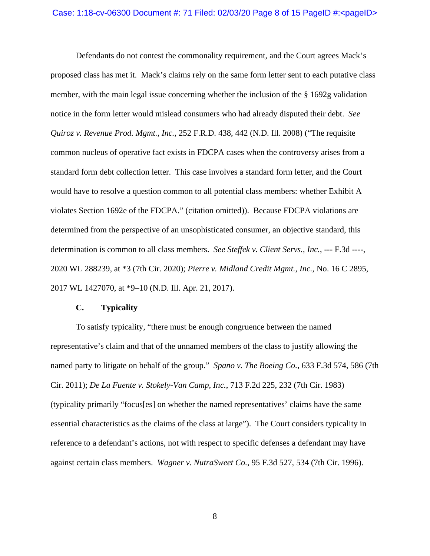Defendants do not contest the commonality requirement, and the Court agrees Mack's proposed class has met it. Mack's claims rely on the same form letter sent to each putative class member, with the main legal issue concerning whether the inclusion of the § 1692g validation notice in the form letter would mislead consumers who had already disputed their debt. *See Quiroz v. Revenue Prod. Mgmt., Inc.*, 252 F.R.D. 438, 442 (N.D. Ill. 2008) ("The requisite common nucleus of operative fact exists in FDCPA cases when the controversy arises from a standard form debt collection letter. This case involves a standard form letter, and the Court would have to resolve a question common to all potential class members: whether Exhibit A violates Section 1692e of the FDCPA." (citation omitted)). Because FDCPA violations are determined from the perspective of an unsophisticated consumer, an objective standard, this determination is common to all class members. *See Steffek v. Client Servs., Inc.*, --- F.3d ----, 2020 WL 288239, at \*3 (7th Cir. 2020); *Pierre v. Midland Credit Mgmt., Inc.*, No. 16 C 2895, 2017 WL 1427070, at \*9–10 (N.D. Ill. Apr. 21, 2017).

## **C. Typicality**

To satisfy typicality, "there must be enough congruence between the named representative's claim and that of the unnamed members of the class to justify allowing the named party to litigate on behalf of the group." *Spano v. The Boeing Co.*, 633 F.3d 574, 586 (7th Cir. 2011); *De La Fuente v. Stokely-Van Camp, Inc.*, 713 F.2d 225, 232 (7th Cir. 1983) (typicality primarily "focus[es] on whether the named representatives' claims have the same essential characteristics as the claims of the class at large"). The Court considers typicality in reference to a defendant's actions, not with respect to specific defenses a defendant may have against certain class members. *Wagner v. NutraSweet Co.*, 95 F.3d 527, 534 (7th Cir. 1996).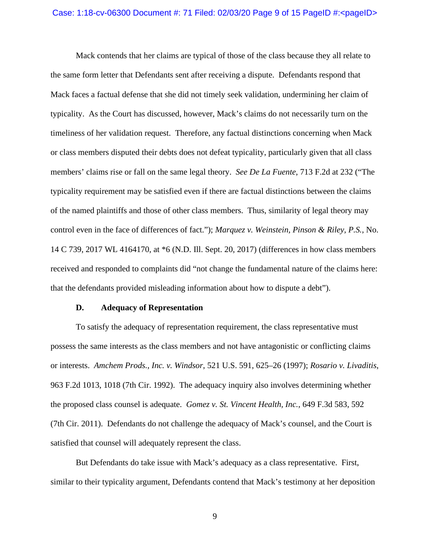#### Case: 1:18-cv-06300 Document #: 71 Filed: 02/03/20 Page 9 of 15 PageID #:<pageID>

Mack contends that her claims are typical of those of the class because they all relate to the same form letter that Defendants sent after receiving a dispute. Defendants respond that Mack faces a factual defense that she did not timely seek validation, undermining her claim of typicality. As the Court has discussed, however, Mack's claims do not necessarily turn on the timeliness of her validation request. Therefore, any factual distinctions concerning when Mack or class members disputed their debts does not defeat typicality, particularly given that all class members' claims rise or fall on the same legal theory. *See De La Fuente*, 713 F.2d at 232 ("The typicality requirement may be satisfied even if there are factual distinctions between the claims of the named plaintiffs and those of other class members. Thus, similarity of legal theory may control even in the face of differences of fact."); *Marquez v. Weinstein, Pinson & Riley, P.S.*, No. 14 C 739, 2017 WL 4164170, at \*6 (N.D. Ill. Sept. 20, 2017) (differences in how class members received and responded to complaints did "not change the fundamental nature of the claims here: that the defendants provided misleading information about how to dispute a debt").

### **D. Adequacy of Representation**

To satisfy the adequacy of representation requirement, the class representative must possess the same interests as the class members and not have antagonistic or conflicting claims or interests. *Amchem Prods., Inc. v. Windsor*, 521 U.S. 591, 625–26 (1997); *Rosario v. Livaditis*, 963 F.2d 1013, 1018 (7th Cir. 1992). The adequacy inquiry also involves determining whether the proposed class counsel is adequate. *Gomez v. St. Vincent Health, Inc.*, 649 F.3d 583, 592 (7th Cir. 2011). Defendants do not challenge the adequacy of Mack's counsel, and the Court is satisfied that counsel will adequately represent the class.

But Defendants do take issue with Mack's adequacy as a class representative. First, similar to their typicality argument, Defendants contend that Mack's testimony at her deposition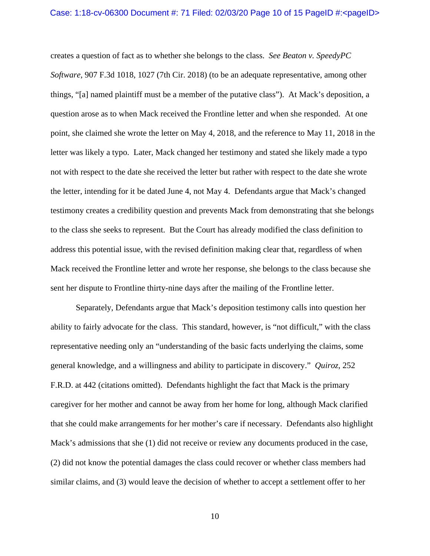creates a question of fact as to whether she belongs to the class. *See Beaton v. SpeedyPC Software*, 907 F.3d 1018, 1027 (7th Cir. 2018) (to be an adequate representative, among other things, "[a] named plaintiff must be a member of the putative class"). At Mack's deposition, a question arose as to when Mack received the Frontline letter and when she responded. At one point, she claimed she wrote the letter on May 4, 2018, and the reference to May 11, 2018 in the letter was likely a typo. Later, Mack changed her testimony and stated she likely made a typo not with respect to the date she received the letter but rather with respect to the date she wrote the letter, intending for it be dated June 4, not May 4. Defendants argue that Mack's changed testimony creates a credibility question and prevents Mack from demonstrating that she belongs to the class she seeks to represent. But the Court has already modified the class definition to address this potential issue, with the revised definition making clear that, regardless of when Mack received the Frontline letter and wrote her response, she belongs to the class because she sent her dispute to Frontline thirty-nine days after the mailing of the Frontline letter.

Separately, Defendants argue that Mack's deposition testimony calls into question her ability to fairly advocate for the class. This standard, however, is "not difficult," with the class representative needing only an "understanding of the basic facts underlying the claims, some general knowledge, and a willingness and ability to participate in discovery." *Quiroz*, 252 F.R.D. at 442 (citations omitted). Defendants highlight the fact that Mack is the primary caregiver for her mother and cannot be away from her home for long, although Mack clarified that she could make arrangements for her mother's care if necessary. Defendants also highlight Mack's admissions that she (1) did not receive or review any documents produced in the case, (2) did not know the potential damages the class could recover or whether class members had similar claims, and (3) would leave the decision of whether to accept a settlement offer to her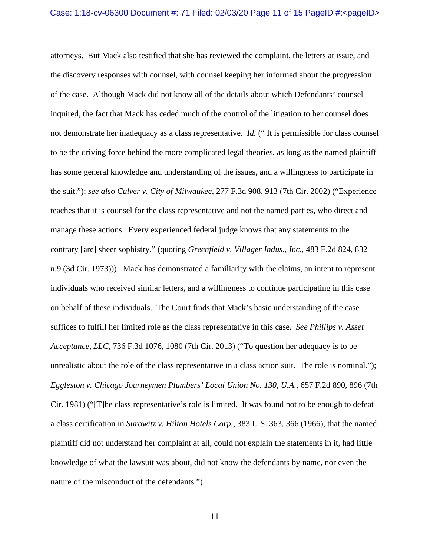attorneys. But Mack also testified that she has reviewed the complaint, the letters at issue, and the discovery responses with counsel, with counsel keeping her informed about the progression of the case. Although Mack did not know all of the details about which Defendants' counsel inquired, the fact that Mack has ceded much of the control of the litigation to her counsel does not demonstrate her inadequacy as a class representative. *Id.* (" It is permissible for class counsel to be the driving force behind the more complicated legal theories, as long as the named plaintiff has some general knowledge and understanding of the issues, and a willingness to participate in the suit."); *see also Culver v. City of Milwaukee*, 277 F.3d 908, 913 (7th Cir. 2002) ("Experience teaches that it is counsel for the class representative and not the named parties, who direct and manage these actions. Every experienced federal judge knows that any statements to the contrary [are] sheer sophistry." (quoting *Greenfield v. Villager Indus., Inc.*, 483 F.2d 824, 832 n.9 (3d Cir. 1973))). Mack has demonstrated a familiarity with the claims, an intent to represent individuals who received similar letters, and a willingness to continue participating in this case on behalf of these individuals. The Court finds that Mack's basic understanding of the case suffices to fulfill her limited role as the class representative in this case. *See Phillips v. Asset Acceptance, LLC*, 736 F.3d 1076, 1080 (7th Cir. 2013) ("To question her adequacy is to be unrealistic about the role of the class representative in a class action suit. The role is nominal."); *Eggleston v. Chicago Journeymen Plumbers' Local Union No. 130, U.A.*, 657 F.2d 890, 896 (7th Cir. 1981) ("[T]he class representative's role is limited. It was found not to be enough to defeat a class certification in *Surowitz v. Hilton Hotels Corp.*, 383 U.S. 363, 366 (1966), that the named plaintiff did not understand her complaint at all, could not explain the statements in it, had little knowledge of what the lawsuit was about, did not know the defendants by name, nor even the nature of the misconduct of the defendants.").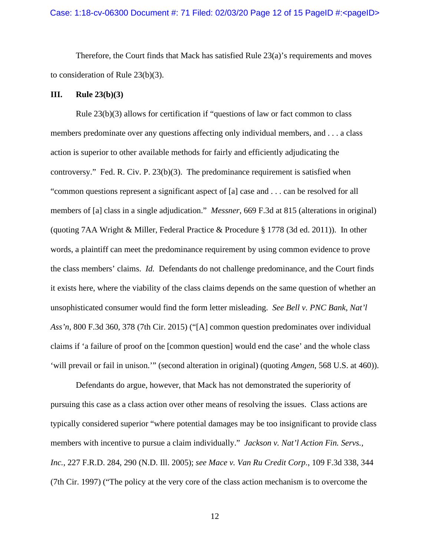Therefore, the Court finds that Mack has satisfied Rule  $23(a)$ 's requirements and moves to consideration of Rule 23(b)(3).

### **III. Rule 23(b)(3)**

Rule 23(b)(3) allows for certification if "questions of law or fact common to class members predominate over any questions affecting only individual members, and . . . a class action is superior to other available methods for fairly and efficiently adjudicating the controversy." Fed. R. Civ. P. 23(b)(3). The predominance requirement is satisfied when "common questions represent a significant aspect of [a] case and . . . can be resolved for all members of [a] class in a single adjudication." *Messner*, 669 F.3d at 815 (alterations in original) (quoting 7AA Wright & Miller, Federal Practice & Procedure § 1778 (3d ed. 2011)). In other words, a plaintiff can meet the predominance requirement by using common evidence to prove the class members' claims. *Id.* Defendants do not challenge predominance, and the Court finds it exists here, where the viability of the class claims depends on the same question of whether an unsophisticated consumer would find the form letter misleading. *See Bell v. PNC Bank, Nat'l Ass'n*, 800 F.3d 360, 378 (7th Cir. 2015) ("[A] common question predominates over individual claims if 'a failure of proof on the [common question] would end the case' and the whole class 'will prevail or fail in unison.'" (second alteration in original) (quoting *Amgen*, 568 U.S. at 460)).

Defendants do argue, however, that Mack has not demonstrated the superiority of pursuing this case as a class action over other means of resolving the issues. Class actions are typically considered superior "where potential damages may be too insignificant to provide class members with incentive to pursue a claim individually." *Jackson v. Nat'l Action Fin. Servs., Inc.*, 227 F.R.D. 284, 290 (N.D. Ill. 2005); *see Mace v. Van Ru Credit Corp.*, 109 F.3d 338, 344 (7th Cir. 1997) ("The policy at the very core of the class action mechanism is to overcome the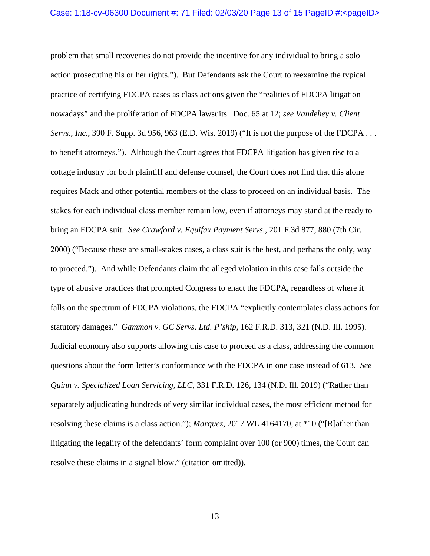problem that small recoveries do not provide the incentive for any individual to bring a solo action prosecuting his or her rights."). But Defendants ask the Court to reexamine the typical practice of certifying FDCPA cases as class actions given the "realities of FDCPA litigation nowadays" and the proliferation of FDCPA lawsuits. Doc. 65 at 12; *see Vandehey v. Client Servs., Inc.*, 390 F. Supp. 3d 956, 963 (E.D. Wis. 2019) ("It is not the purpose of the FDCPA . . . to benefit attorneys."). Although the Court agrees that FDCPA litigation has given rise to a cottage industry for both plaintiff and defense counsel, the Court does not find that this alone requires Mack and other potential members of the class to proceed on an individual basis. The stakes for each individual class member remain low, even if attorneys may stand at the ready to bring an FDCPA suit. *See Crawford v. Equifax Payment Servs.*, 201 F.3d 877, 880 (7th Cir. 2000) ("Because these are small-stakes cases, a class suit is the best, and perhaps the only, way to proceed."). And while Defendants claim the alleged violation in this case falls outside the type of abusive practices that prompted Congress to enact the FDCPA, regardless of where it falls on the spectrum of FDCPA violations, the FDCPA "explicitly contemplates class actions for statutory damages." *Gammon v. GC Servs. Ltd. P'ship*, 162 F.R.D. 313, 321 (N.D. Ill. 1995). Judicial economy also supports allowing this case to proceed as a class, addressing the common questions about the form letter's conformance with the FDCPA in one case instead of 613. *See Quinn v. Specialized Loan Servicing, LLC*, 331 F.R.D. 126, 134 (N.D. Ill. 2019) ("Rather than separately adjudicating hundreds of very similar individual cases, the most efficient method for resolving these claims is a class action."); *Marquez*, 2017 WL 4164170, at \*10 ("[R]ather than litigating the legality of the defendants' form complaint over 100 (or 900) times, the Court can resolve these claims in a signal blow." (citation omitted)).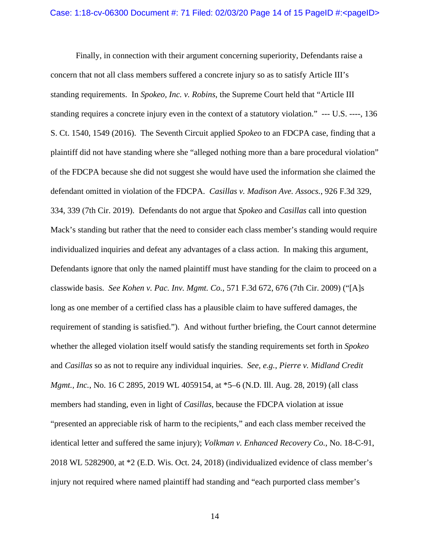Finally, in connection with their argument concerning superiority, Defendants raise a concern that not all class members suffered a concrete injury so as to satisfy Article III's standing requirements. In *Spokeo, Inc. v. Robins*, the Supreme Court held that "Article III standing requires a concrete injury even in the context of a statutory violation." --- U.S. ----, 136 S. Ct. 1540, 1549 (2016). The Seventh Circuit applied *Spokeo* to an FDCPA case, finding that a plaintiff did not have standing where she "alleged nothing more than a bare procedural violation" of the FDCPA because she did not suggest she would have used the information she claimed the defendant omitted in violation of the FDCPA. *Casillas v. Madison Ave. Assocs.*, 926 F.3d 329, 334, 339 (7th Cir. 2019). Defendants do not argue that *Spokeo* and *Casillas* call into question Mack's standing but rather that the need to consider each class member's standing would require individualized inquiries and defeat any advantages of a class action. In making this argument, Defendants ignore that only the named plaintiff must have standing for the claim to proceed on a classwide basis. *See Kohen v. Pac. Inv. Mgmt. Co.*, 571 F.3d 672, 676 (7th Cir. 2009) ("[A]s long as one member of a certified class has a plausible claim to have suffered damages, the requirement of standing is satisfied."). And without further briefing, the Court cannot determine whether the alleged violation itself would satisfy the standing requirements set forth in *Spokeo*  and *Casillas* so as not to require any individual inquiries. *See, e.g.*, *Pierre v. Midland Credit Mgmt., Inc.*, No. 16 C 2895, 2019 WL 4059154, at \*5–6 (N.D. Ill. Aug. 28, 2019) (all class members had standing, even in light of *Casillas*, because the FDCPA violation at issue "presented an appreciable risk of harm to the recipients," and each class member received the identical letter and suffered the same injury); *Volkman v. Enhanced Recovery Co.*, No. 18-C-91, 2018 WL 5282900, at \*2 (E.D. Wis. Oct. 24, 2018) (individualized evidence of class member's injury not required where named plaintiff had standing and "each purported class member's